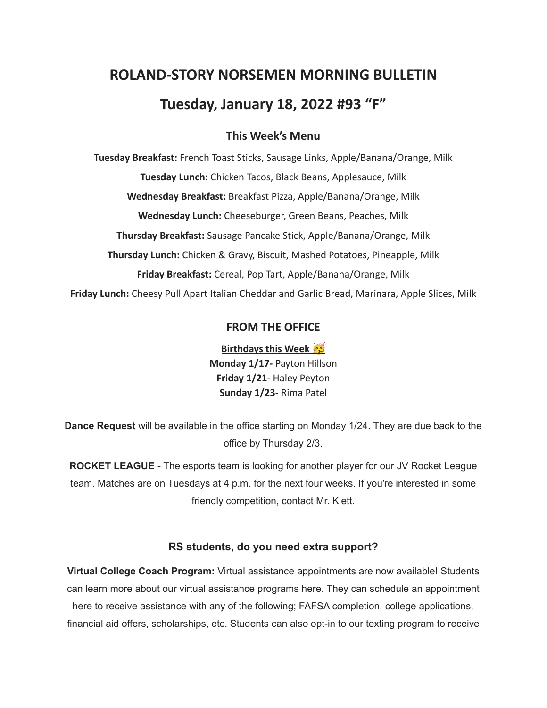# **ROLAND-STORY NORSEMEN MORNING BULLETIN Tuesday, January 18, 2022 #93 "F"**

## **This Week's Menu**

**Tuesday Breakfast:** French Toast Sticks, Sausage Links, Apple/Banana/Orange, Milk **Tuesday Lunch:** Chicken Tacos, Black Beans, Applesauce, Milk **Wednesday Breakfast:** Breakfast Pizza, Apple/Banana/Orange, Milk **Wednesday Lunch:** Cheeseburger, Green Beans, Peaches, Milk **Thursday Breakfast:** Sausage Pancake Stick, Apple/Banana/Orange, Milk **Thursday Lunch:** Chicken & Gravy, Biscuit, Mashed Potatoes, Pineapple, Milk **Friday Breakfast:** Cereal, Pop Tart, Apple/Banana/Orange, Milk **Friday Lunch:** Cheesy Pull Apart Italian Cheddar and Garlic Bread, Marinara, Apple Slices, Milk

## **FROM THE OFFICE**

**Birthdays this Week Monday 1/17-** Payton Hillson **Friday 1/21**- Haley Peyton **Sunday 1/23**- Rima Patel

**Dance Request** will be available in the office starting on Monday 1/24. They are due back to the office by Thursday 2/3.

**ROCKET LEAGUE -** The esports team is looking for another player for our JV Rocket League team. Matches are on Tuesdays at 4 p.m. for the next four weeks. If you're interested in some friendly competition, contact Mr. Klett.

#### **RS students, do you need extra support?**

**Virtual College Coach Program:** Virtual assistance appointments are now available! Students can learn more about our virtual assistance programs here. They can schedule an appointment here to receive assistance with any of the following; FAFSA completion, college applications, financial aid offers, scholarships, etc. Students can also opt-in to our texting program to receive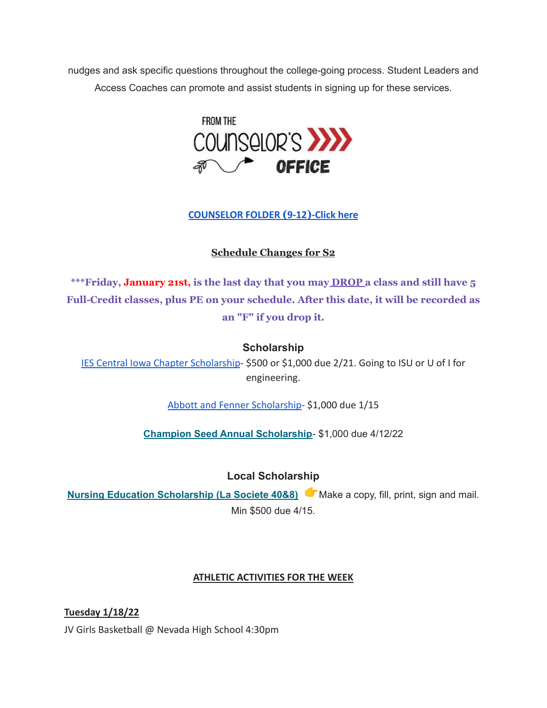nudges and ask specific questions throughout the college-going process. Student Leaders and Access Coaches can promote and assist students in signing up for these services.



**[COUNSELOR FOLDER](https://docs.google.com/document/d/1vmwczNPbDzXe9vFaG5LJMQ7NYDv-i4oQJHybqA65TUc/edit?usp=sharing) (9-12)-Click here**

# **Schedule Changes for S2**

**\*\*\*Friday, January 21st, is the last day that you may DROP a class and still have 5 Full-Credit classes, plus PE on your schedule. After this date, it will be recorded as an "F" if you drop it.**

# **Scholarship**

[IES Central Iowa Chapter Scholarship](https://drive.google.com/file/d/1TOCO584mY9ObCqCNa6kBs_Yjrn4wPSdj/view?usp=sharing)- \$500 or \$1,000 due 2/21. Going to ISU or U of I for engineering.

[Abbott and Fenner Scholarship-](https://abbottandfenner.com/scholarships.php) \$1,000 due 1/15

**Champion Seed Annual [Scholarship](https://www.plantchampion.com/about/scholarship/)**- \$1,000 due 4/12/22

# **Local Scholarship**

**Nursing Education [Scholarship](https://docs.google.com/document/d/1xp-Gg2v_kfzzaIsmco9l2tbpQI6T93L71SJzPYrDpOA/edit?usp=sharing) (La Societe 40&8)** Make a copy, fill, print, sign and mail. Min \$500 due 4/15.

# **ATHLETIC ACTIVITIES FOR THE WEEK**

**Tuesday 1/18/22** JV Girls Basketball @ Nevada High School 4:30pm